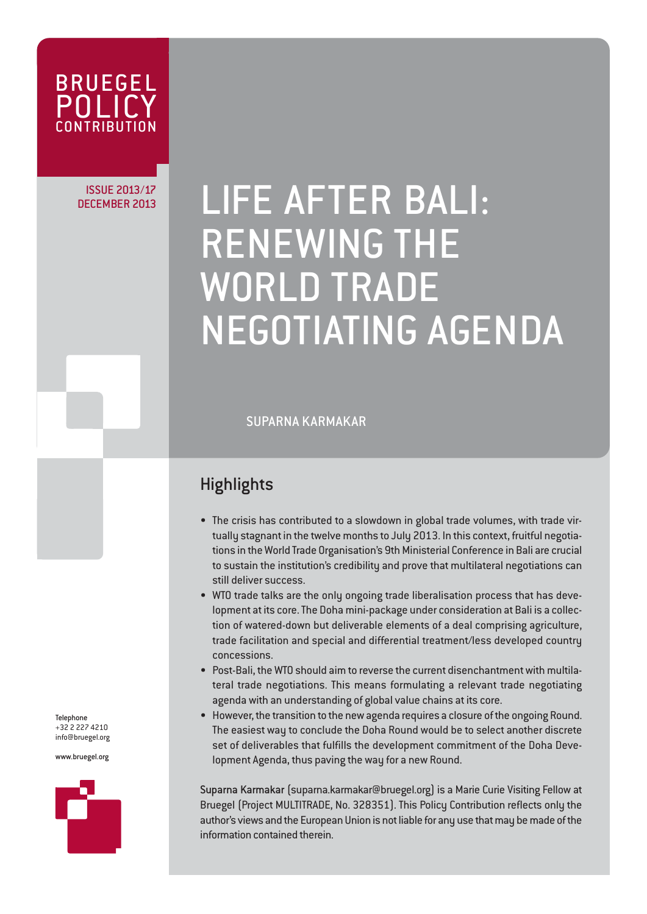

## ISSUE 2013/17

# DECEMBER 2013/17 | LIFE AFTER BALI: RENEWING THE WORLD TRADE NEGOTIATING AGENDA

SUPARNA KARMAKAR

### **Highlights**

- The crisis has contributed to a slowdown in global trade volumes, with trade virtually stagnant in the twelve months to July 2013. In this context, fruitful negotiations in the World Trade Organisation's 9th Ministerial Conference in Bali are crucial to sustain the institution's credibility and prove that multilateral negotiations can still deliver success.
- WTO trade talks are the only ongoing trade liberalisation process that has development at its core. The Doha mini-package under consideration at Bali is a collection of watered-down but deliverable elements of a deal comprising agriculture, trade facilitation and special and differential treatment/less developed country concessions.
- Post-Bali, the WTO should aim to reverse the current disenchantment with multilateral trade negotiations. This means formulating a relevant trade negotiating agenda with an understanding of global value chains at its core.
- However, the transition to the new agenda requires a closure of the ongoing Round. The easiest way to conclude the Doha Round would be to select another discrete set of deliverables that fulfills the development commitment of the Doha Development Agenda, thus paving the way for a new Round.

Suparna Karmakar (suparna.karmakar@bruegel.org) is a Marie Curie Visiting Fellow at Bruegel (Project MULTITRADE, No. 328351). This Policy Contribution reflects only the author's views and the European Union is not liable for any use that may be made of the information contained therein.

Telephone +32 2 227 4210 info@bruegel.org

www.bruegel.org

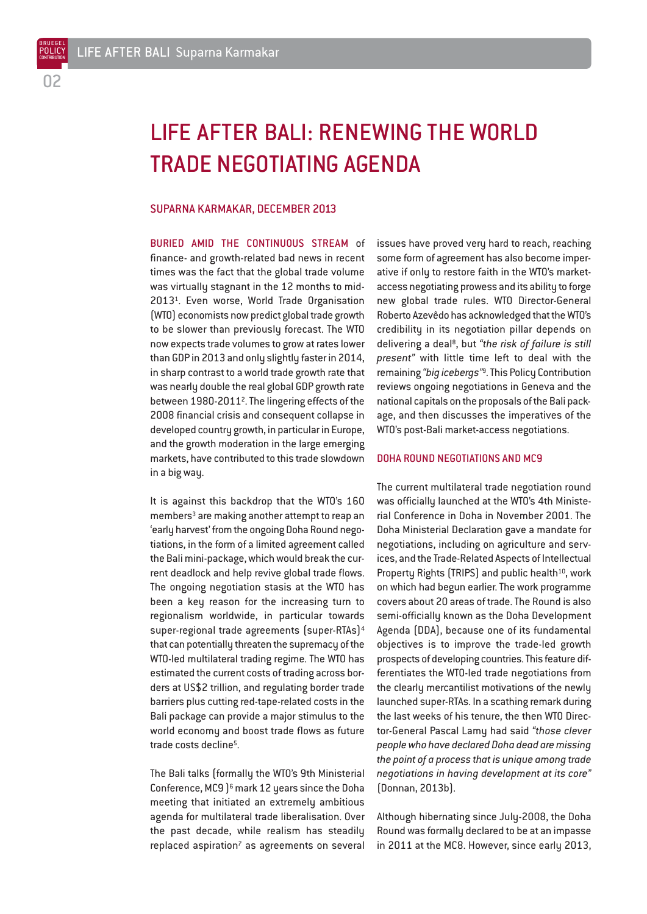BRUEGEL

## LIFE AFTER BALI: RENEWING THE WORLD TRADE NEGOTIATING AGENDA

#### SUPARNA KARMAKAR, DECEMBER 2013

BURIED AMID THE CONTINUOUS STREAM of finance- and growth-related bad news in recent times was the fact that the global trade volume was virtually stagnant in the 12 months to mid-20131. Even worse, World Trade Organisation (WTO) economists now predict global trade growth to be slower than previously forecast. The WTO now expects trade volumes to grow at rates lower than GDP in 2013 and only slightly faster in 2014, in sharp contrast to a world trade growth rate that was nearly double the real global GDP growth rate between 1980-20112. The lingering effects of the 2008 financial crisis and consequent collapse in developed country growth, in particular in Europe, and the growth moderation in the large emerging markets, have contributed to this trade slowdown in a big way.

It is against this backdrop that the WTO's 160 members<sup>3</sup> are making another attempt to reap an 'early harvest' from the ongoing Doha Round negotiations, in the form of a limited agreement called the Bali mini-package, which would break the current deadlock and help revive global trade flows. The ongoing negotiation stasis at the WTO has been a key reason for the increasing turn to regionalism worldwide, in particular towards super-regional trade agreements (super-RTAs)4 that can potentially threaten the supremacy of the WTO-led multilateral trading regime. The WTO has estimated the current costs of trading across borders at US\$2 trillion, and regulating border trade barriers plus cutting red-tape-related costs in the Bali package can provide a major stimulus to the world economy and boost trade flows as future trade costs decline<sup>5</sup>

The Bali talks (formally the WTO's 9th Ministerial Conference, MC9 )6 mark 12 years since the Doha meeting that initiated an extremely ambitious agenda for multilateral trade liberalisation. Over the past decade, while realism has steadily  $replaced$  aspiration<sup>7</sup> as agreements on several

issues have proved very hard to reach, reaching some form of agreement has also become imperative if only to restore faith in the WTO's marketaccess negotiating prowess and its ability to forge new global trade rules. WTO Director-General Roberto Azevêdo has acknowledged that the WTO's credibility in its negotiation pillar depends on delivering a deal8, but *"the risk of failure is still present"* with little time left to deal with the remaining *"big icebergs"*9. This Policy Contribution reviews ongoing negotiations in Geneva and the national capitals on the proposals of the Bali package, and then discusses the imperatives of the WTO's post-Bali market-access negotiations.

#### DOHA ROUND NEGOTIATIONS AND MC9

The current multilateral trade negotiation round was officially launched at the WTO's 4th Ministerial Conference in Doha in November 2001. The Doha Ministerial Declaration gave a mandate for negotiations, including on agriculture and services, and the Trade-Related Aspects of Intellectual Property Rights (TRIPS) and public health<sup>10</sup>, work on which had begun earlier. The work programme covers about 20 areas of trade. The Round is also semi-officially known as the Doha Development Agenda (DDA), because one of its fundamental objectives is to improve the trade-led growth prospects of developing countries. This feature differentiates the WTO-led trade negotiations from the clearly mercantilist motivations of the newly launched super-RTAs. In a scathing remark during the last weeks of his tenure, the then WTO Director-General Pascal Lamy had said *"those clever people who have declared Doha dead are missing the point of a process that is unique among trade negotiations in having development at its core"* (Donnan, 2013b).

Although hibernating since July-2008, the Doha Round was formally declared to be at an impasse in 2011 at the MC8. However, since early 2013,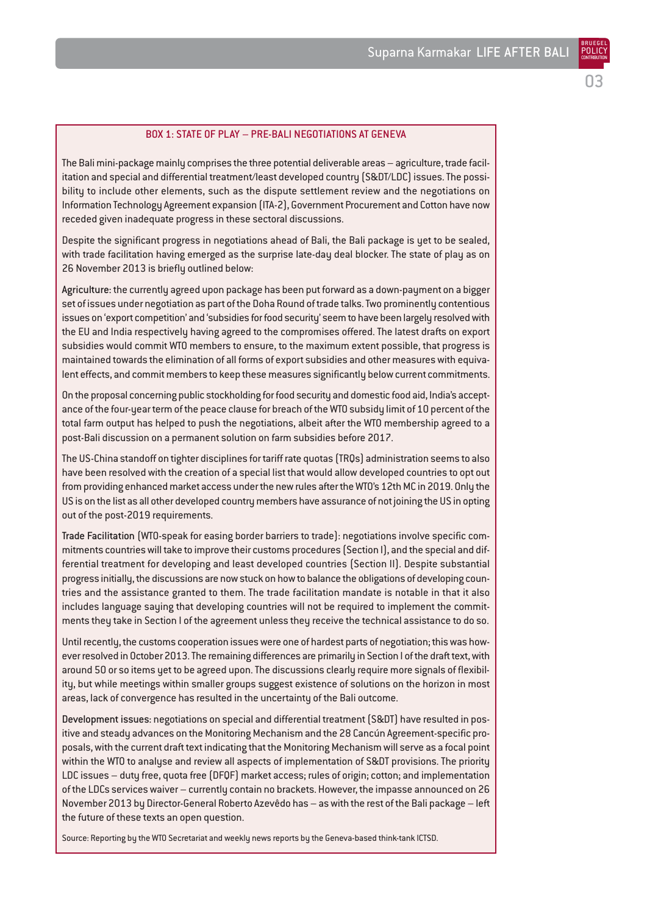#### BOX 1: STATE OF PLAY – PRE-BALI NEGOTIATIONS AT GENEVA

The Bali mini-package mainly comprises the three potential deliverable areas – agriculture, trade facilitation and special and differential treatment/least developed country (S&DT/LDC) issues. The possibility to include other elements, such as the dispute settlement review and the negotiations on Information Technology Agreement expansion (ITA-2), Government Procurement and Cotton have now receded given inadequate progress in these sectoral discussions.

Despite the significant progress in negotiations ahead of Bali, the Bali package is yet to be sealed, with trade facilitation having emerged as the surprise late-day deal blocker. The state of play as on 26 November 2013 is briefly outlined below:

Agriculture: the currently agreed upon package has been put forward as a down-payment on a bigger set of issues under negotiation as part of the Doha Round of trade talks. Two prominently contentious issues on 'export competition' and 'subsidies for food security' seem to have been largely resolved with the EU and India respectively having agreed to the compromises offered. The latest drafts on export subsidies would commit WTO members to ensure, to the maximum extent possible, that progress is maintained towards the elimination of all forms of export subsidies and other measures with equivalent effects, and commit members to keep these measures significantly below current commitments.

On the proposal concerning public stockholding for food security and domestic food aid, India's acceptance of the four-year term of the peace clause for breach of the WTO subsidy limit of 10 percent of the total farm output has helped to push the negotiations, albeit after the WTO membership agreed to a post-Bali discussion on a permanent solution on farm subsidies before 2017.

The US-China standoff on tighter disciplines for tariff rate quotas (TRQs) administration seems to also have been resolved with the creation of a special list that would allow developed countries to opt out from providing enhanced market access under the new rules after the WTO's 12th MC in 2019. Only the US is on the list as all other developed country members have assurance of not joining the US in opting out of the post-2019 requirements.

Trade Facilitation (WTO-speak for easing border barriers to trade): negotiations involve specific commitments countries will take to improve their customs procedures (Section I), and the special and differential treatment for developing and least developed countries (Section II). Despite substantial progress initially, the discussions are now stuck on how to balance the obligations of developing countries and the assistance granted to them. The trade facilitation mandate is notable in that it also includes language saying that developing countries will not be required to implement the commitments they take in Section I of the agreement unless they receive the technical assistance to do so.

Until recently, the customs cooperation issues were one of hardest parts of negotiation; this was however resolved in October 2013. The remaining differences are primarily in Section I of the draft text, with around 50 or so items yet to be agreed upon. The discussions clearly require more signals of flexibility, but while meetings within smaller groups suggest existence of solutions on the horizon in most areas, lack of convergence has resulted in the uncertainty of the Bali outcome.

Development issues: negotiations on special and differential treatment (S&DT) have resulted in positive and steady advances on the Monitoring Mechanism and the 28 Cancún Agreement-specific proposals, with the current draft text indicating that the Monitoring Mechanism will serve as a focal point within the WTO to analyse and review all aspects of implementation of S&DT provisions. The priority LDC issues – duty free, quota free (DFQF) market access; rules of origin; cotton; and implementation of the LDCs services waiver – currently contain no brackets. However, the impasse announced on 26 November 2013 by Director-General Roberto Azevêdo has – as with the rest of the Bali package – left the future of these texts an open question.

Source: Reporting by the WTO Secretariat and weekly news reports by the Geneva-based think-tank ICTSD.

BRUEGEL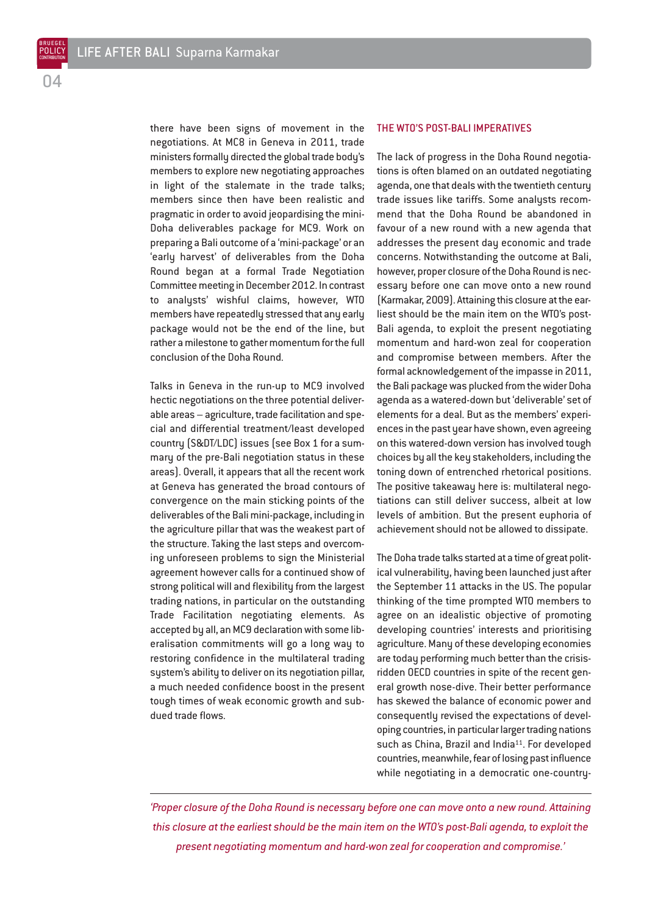there have been signs of movement in the negotiations. At MC8 in Geneva in 2011, trade ministers formally directed the global trade body's members to explore new negotiating approaches in light of the stalemate in the trade talks; members since then have been realistic and pragmatic in order to avoid jeopardising the mini-Doha deliverables package for MC9. Work on preparing a Bali outcome of a 'mini-package' or an 'early harvest' of deliverables from the Doha Round began at a formal Trade Negotiation Committee meeting in December 2012. In contrast to analysts' wishful claims, however, WTO members have repeatedly stressed that any early package would not be the end of the line, but rather a milestone to gather momentum for the full conclusion of the Doha Round.

Talks in Geneva in the run-up to MC9 involved hectic negotiations on the three potential deliverable areas – agriculture, trade facilitation and special and differential treatment/least developed country (S&DT/LDC) issues (see Box 1 for a summary of the pre-Bali negotiation status in these areas). Overall, it appears that all the recent work at Geneva has generated the broad contours of convergence on the main sticking points of the deliverables of the Bali mini-package, including in the agriculture pillar that was the weakest part of the structure. Taking the last steps and overcoming unforeseen problems to sign the Ministerial agreement however calls for a continued show of strong political will and flexibility from the largest trading nations, in particular on the outstanding Trade Facilitation negotiating elements. As accepted by all, an MC9 declaration with some liberalisation commitments will go a long way to restoring confidence in the multilateral trading system's ability to deliver on its negotiation pillar, a much needed confidence boost in the present tough times of weak economic growth and subdued trade flows.

#### THE WTO'S POST-BALI IMPERATIVES

The lack of progress in the Doha Round negotiations is often blamed on an outdated negotiating agenda, one that deals with the twentieth century trade issues like tariffs. Some analysts recommend that the Doha Round be abandoned in favour of a new round with a new agenda that addresses the present day economic and trade concerns. Notwithstanding the outcome at Bali, however, proper closure of the Doha Round is necessary before one can move onto a new round (Karmakar, 2009). Attaining this closure at the earliest should be the main item on the WTO's post-Bali agenda, to exploit the present negotiating momentum and hard-won zeal for cooperation and compromise between members. After the formal acknowledgement of the impasse in 2011, the Bali package was plucked from the wider Doha agenda as a watered-down but 'deliverable' set of elements for a deal. But as the members' experiences in the past year have shown, even agreeing on this watered-down version has involved tough choices by all the key stakeholders, including the toning down of entrenched rhetorical positions. The positive takeaway here is: multilateral negotiations can still deliver success, albeit at low levels of ambition. But the present euphoria of achievement should not be allowed to dissipate.

The Doha trade talks started at a time of great political vulnerability, having been launched just after the September 11 attacks in the US. The popular thinking of the time prompted WTO members to agree on an idealistic objective of promoting developing countries' interests and prioritising agriculture. Many of these developing economies are today performing much better than the crisisridden OECD countries in spite of the recent general growth nose-dive. Their better performance has skewed the balance of economic power and consequently revised the expectations of developing countries, in particular larger trading nations such as China, Brazil and India<sup>11</sup>. For developed countries, meanwhile, fear of losing past influence while negotiating in a democratic one-country-

*'Proper closure of the Doha Round is necessary before one can move onto a new round. Attaining this closure at the earliest should be the main item on the WTO's post-Bali agenda, to exploit the present negotiating momentum and hard-won zeal for cooperation and compromise.'*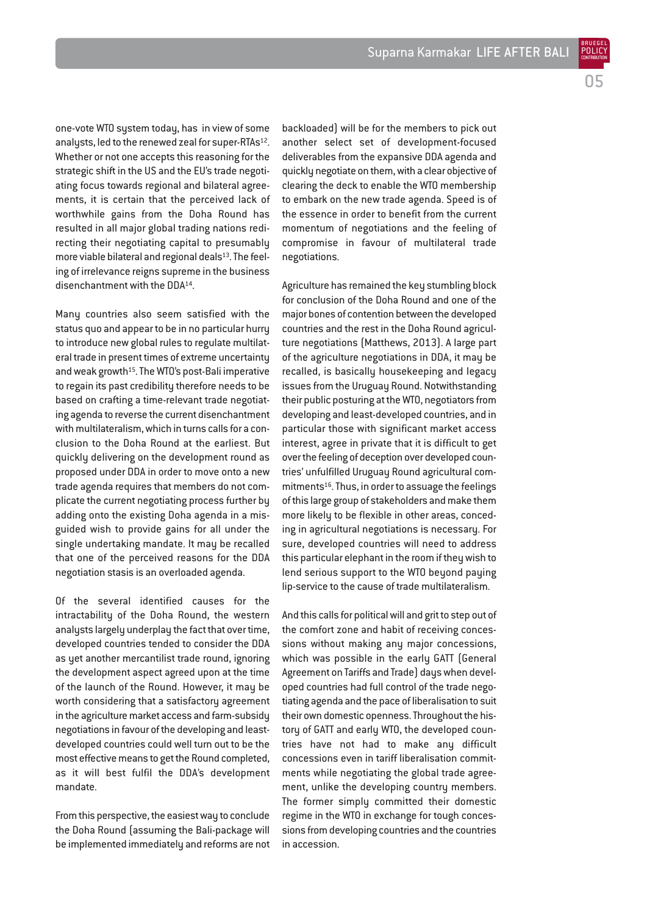one-vote WTO system today, has in view of some analysts, led to the renewed zeal for super-RTAs<sup>12</sup>. Whether or not one accepts this reasoning for the strategic shift in the US and the EU's trade negotiating focus towards regional and bilateral agreements, it is certain that the perceived lack of worthwhile gains from the Doha Round has resulted in all major global trading nations redirecting their negotiating capital to presumably more viable bilateral and regional deals<sup>13</sup>. The feeling of irrelevance reigns supreme in the business disenchantment with the DDA14.

Many countries also seem satisfied with the status quo and appear to be in no particular hurry to introduce new global rules to regulate multilateral trade in present times of extreme uncertainty and weak growth<sup>15</sup>. The WTO's post-Bali imperative to regain its past credibility therefore needs to be based on crafting a time-relevant trade negotiating agenda to reverse the current disenchantment with multilateralism, which in turns calls for a conclusion to the Doha Round at the earliest. But quickly delivering on the development round as proposed under DDA in order to move onto a new trade agenda requires that members do not complicate the current negotiating process further by adding onto the existing Doha agenda in a misguided wish to provide gains for all under the single undertaking mandate. It may be recalled that one of the perceived reasons for the DDA negotiation stasis is an overloaded agenda.

Of the several identified causes for the intractability of the Doha Round, the western analysts largely underplay the fact that over time, developed countries tended to consider the DDA as yet another mercantilist trade round, ignoring the development aspect agreed upon at the time of the launch of the Round. However, it may be worth considering that a satisfactory agreement in the agriculture market access and farm-subsidy negotiations in favour of the developing and leastdeveloped countries could well turn out to be the most effective means to get the Round completed, as it will best fulfil the DDA's development mandate.

From this perspective, the easiest way to conclude the Doha Round (assuming the Bali-package will be implemented immediately and reforms are not

backloaded) will be for the members to pick out another select set of development-focused deliverables from the expansive DDA agenda and quickly negotiate on them, with a clear objective of clearing the deck to enable the WTO membership to embark on the new trade agenda. Speed is of the essence in order to benefit from the current momentum of negotiations and the feeling of compromise in favour of multilateral trade negotiations.

Agriculture has remained the key stumbling block for conclusion of the Doha Round and one of the major bones of contention between the developed countries and the rest in the Doha Round agriculture negotiations (Matthews, 2013). A large part of the agriculture negotiations in DDA, it may be recalled, is basically housekeeping and legacy issues from the Uruguay Round. Notwithstanding their public posturing at the WTO, negotiators from developing and least-developed countries, and in particular those with significant market access interest, agree in private that it is difficult to get over the feeling of deception over developed countries' unfulfilled Uruguay Round agricultural commitments16. Thus, in order to assuage the feelings of this large group of stakeholders and make them more likely to be flexible in other areas, conceding in agricultural negotiations is necessary. For sure, developed countries will need to address this particular elephant in the room if they wish to lend serious support to the WTO beyond paying lip-service to the cause of trade multilateralism.

And this calls for political will and grit to step out of the comfort zone and habit of receiving concessions without making any major concessions, which was possible in the early GATT (General Agreement on Tariffs and Trade) days when developed countries had full control of the trade negotiating agenda and the pace of liberalisation to suit their own domestic openness. Throughout the history of GATT and early WTO, the developed countries have not had to make any difficult concessions even in tariff liberalisation commitments while negotiating the global trade agreement, unlike the developing country members. The former simply committed their domestic regime in the WTO in exchange for tough concessions from developing countries and the countries in accession.

POLICY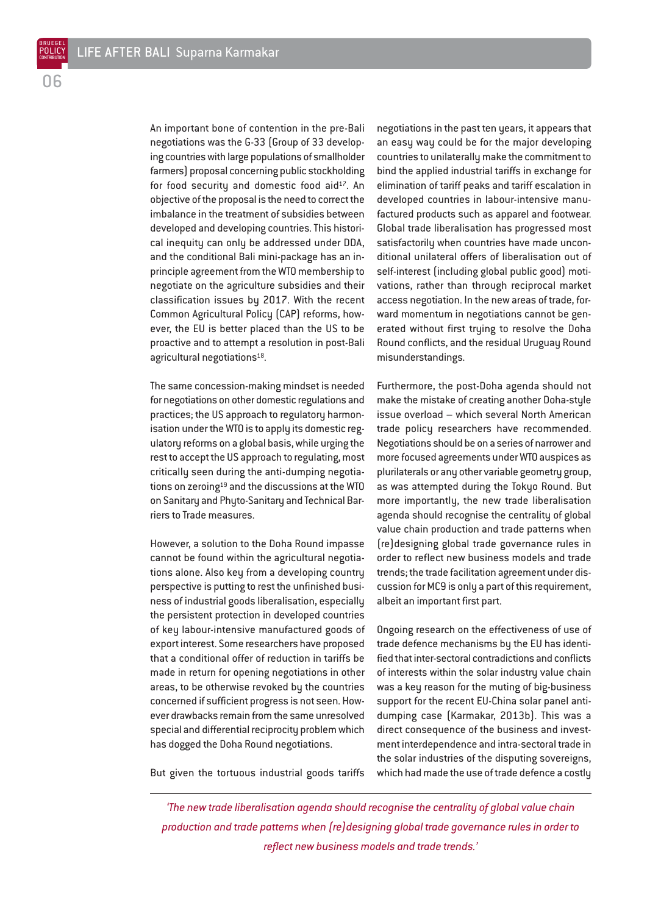An important bone of contention in the pre-Bali negotiations was the G-33 (Group of 33 developing countries with large populations of smallholder farmers) proposal concerning public stockholding for food security and domestic food aid<sup>17</sup>. An objective of the proposal is the need to correct the imbalance in the treatment of subsidies between developed and developing countries. This historical inequity can only be addressed under DDA, and the conditional Bali mini-package has an inprinciple agreement from the WTO membership to negotiate on the agriculture subsidies and their classification issues by 2017. With the recent Common Agricultural Policy (CAP) reforms, however, the EU is better placed than the US to be proactive and to attempt a resolution in post-Bali agricultural negotiations<sup>18</sup>.

The same concession-making mindset is needed for negotiations on other domestic regulations and practices; the US approach to regulatory harmonisation under the WTO is to apply its domestic regulatory reforms on a global basis, while urging the rest to accept the US approach to regulating, most critically seen during the anti-dumping negotiations on zeroing $19$  and the discussions at the WTO on Sanitary and Phyto-Sanitary and Technical Barriers to Trade measures.

However, a solution to the Doha Round impasse cannot be found within the agricultural negotiations alone. Also key from a developing country perspective is putting to rest the unfinished business of industrial goods liberalisation, especially the persistent protection in developed countries of key labour-intensive manufactured goods of export interest. Some researchers have proposed that a conditional offer of reduction in tariffs be made in return for opening negotiations in other areas, to be otherwise revoked by the countries concerned if sufficient progress is not seen. However drawbacks remain from the same unresolved special and differential reciprocity problem which has dogged the Doha Round negotiations.

negotiations in the past ten years, it appears that an easy way could be for the major developing countries to unilaterally make the commitment to bind the applied industrial tariffs in exchange for elimination of tariff peaks and tariff escalation in developed countries in labour-intensive manufactured products such as apparel and footwear. Global trade liberalisation has progressed most satisfactorily when countries have made unconditional unilateral offers of liberalisation out of self-interest (including global public good) motivations, rather than through reciprocal market access negotiation. In the new areas of trade, forward momentum in negotiations cannot be generated without first trying to resolve the Doha Round conflicts, and the residual Uruguay Round misunderstandings.

Furthermore, the post-Doha agenda should not make the mistake of creating another Doha-style issue overload – which several North American trade policy researchers have recommended. Negotiations should be on a series of narrower and more focused agreements under WTO auspices as plurilaterals or any other variable geometry group, as was attempted during the Tokyo Round. But more importantly, the new trade liberalisation agenda should recognise the centrality of global value chain production and trade patterns when (re)designing global trade governance rules in order to reflect new business models and trade trends; the trade facilitation agreement under discussion for MC9 is only a part of this requirement, albeit an important first part.

Ongoing research on the effectiveness of use of trade defence mechanisms by the EU has identified that inter-sectoral contradictions and conflicts of interests within the solar industry value chain was a key reason for the muting of big-business support for the recent EU-China solar panel antidumping case (Karmakar, 2013b). This was a direct consequence of the business and investment interdependence and intra-sectoral trade in the solar industries of the disputing sovereigns, which had made the use of trade defence a costly

But given the tortuous industrial goods tariffs

*'The new trade liberalisation agenda should recognise the centrality of global value chain production and trade patterns when (re)designing global trade governance rules in order to reflect new business models and trade trends.'*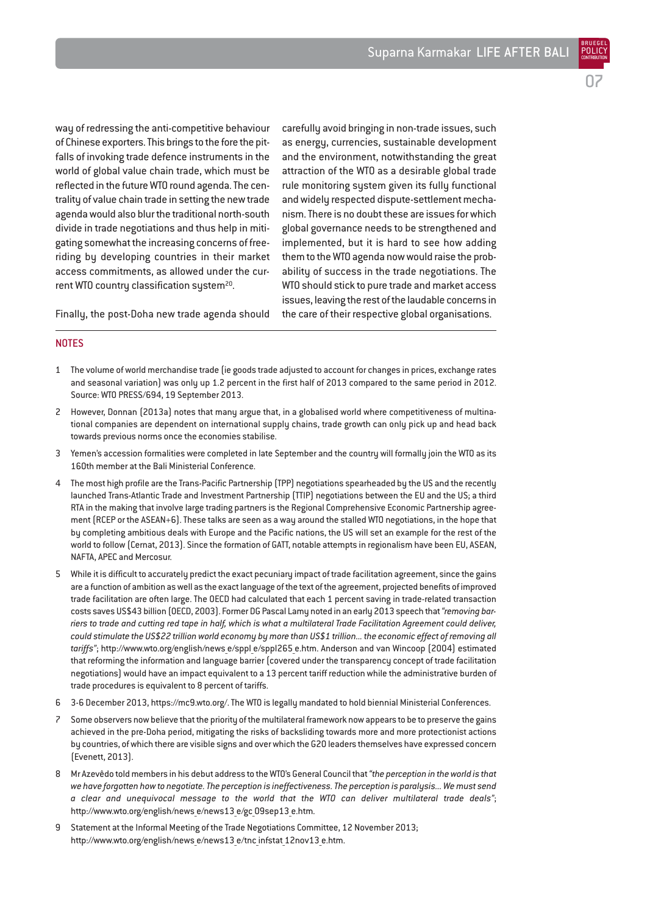carefully avoid bringing in non-trade issues, such as energy, currencies, sustainable development and the environment, notwithstanding the great attraction of the WTO as a desirable global trade rule monitoring system given its fully functional and widely respected dispute-settlement mechanism. There is no doubt these are issues for which global governance needs to be strengthened and implemented, but it is hard to see how adding them to the WTO agenda now would raise the probability of success in the trade negotiations. The WTO should stick to pure trade and market access issues, leaving the rest of the laudable concerns in the care of their respective global organisations.

way of redressing the anti-competitive behaviour of Chinese exporters. This brings to the fore the pitfalls of invoking trade defence instruments in the world of global value chain trade, which must be reflected in the future WTO round agenda. The centrality of value chain trade in setting the new trade agenda would also blur the traditional north-south divide in trade negotiations and thus help in mitigating somewhat the increasing concerns of freeriding by developing countries in their market access commitments, as allowed under the current WTO country classification system<sup>20</sup>.

Finally, the post-Doha new trade agenda should

NOTES

- 1 The volume of world merchandise trade (ie goods trade adjusted to account for changes in prices, exchange rates and seasonal variation) was only up 1.2 percent in the first half of 2013 compared to the same period in 2012. Source: WTO PRESS/694, 19 September 2013.
- 2 However, Donnan (2013a) notes that many argue that, in a globalised world where competitiveness of multinational companies are dependent on international supply chains, trade growth can only pick up and head back towards previous norms once the economies stabilise.
- 3 Yemen's accession formalities were completed in late September and the country will formally join the WTO as its 160th member at the Bali Ministerial Conference.
- 4 The most high profile are the Trans-Pacific Partnership (TPP) negotiations spearheaded by the US and the recently launched Trans-Atlantic Trade and Investment Partnership (TTIP) negotiations between the EU and the US; a third RTA in the making that involve large trading partners is the Regional Comprehensive Economic Partnership agreement (RCEP or the ASEAN+6). These talks are seen as a way around the stalled WTO negotiations, in the hope that by completing ambitious deals with Europe and the Pacific nations, the US will set an example for the rest of the world to follow (Cernat, 2013). Since the formation of GATT, notable attempts in regionalism have been EU, ASEAN, NAFTA, APEC and Mercosur.
- 5 While it is difficult to accurately predict the exact pecuniary impact of trade facilitation agreement, since the gains are a function of ambition as well as the exact language of the text of the agreement, projected benefits of improved trade facilitation are often large. The OECD had calculated that each 1 percent saving in trade-related transaction costs saves US\$43 billion (OECD, 2003). Former DG Pascal Lamy noted in an early 2013 speech that *"removing barriers to trade and cutting red tape in half, which is what a multilateral Trade Facilitation Agreement could deliver, could stimulate the US\$22 trillion world economy by more than US\$1 trillion... the economic effect of removing all* tariffs"; http://www.wto.org/english/news e/sppl e/sppl265 e.htm. Anderson and van Wincoop (2004) estimated that reforming the information and language barrier (covered under the transparency concept of trade facilitation negotiations) would have an impact equivalent to a 13 percent tariff reduction while the administrative burden of trade procedures is equivalent to 8 percent of tariffs.
- 6 3-6 December 2013, https://mc9.wto.org/. The WTO is legally mandated to hold biennial Ministerial Conferences.
- 7 Some observers now believe that the priority of the multilateral framework now appears to be to preserve the gains achieved in the pre-Doha period, mitigating the risks of backsliding towards more and more protectionist actions by countries, of which there are visible signs and over which the G20 leaders themselves have expressed concern (Evenett, 2013).
- 8 Mr Azevêdo told members in his debut address to the WTO's General Council that *"the perception in the world is that we have forgotten how to negotiate. The perception is ineffectiveness. The perception is paralysis... We must send a clear and unequivocal message to the world that the WTO can deliver multilateral trade deals"*; http://www.wto.org/english/news\_e/news13\_e/gc\_09sep13\_e.htm.
- 9 Statement at the Informal Meeting of the Trade Negotiations Committee, 12 November 2013; http://www.wto.org/english/news e/news13 e/tnc infstat 12nov13 e.htm.

07

BRUEGEL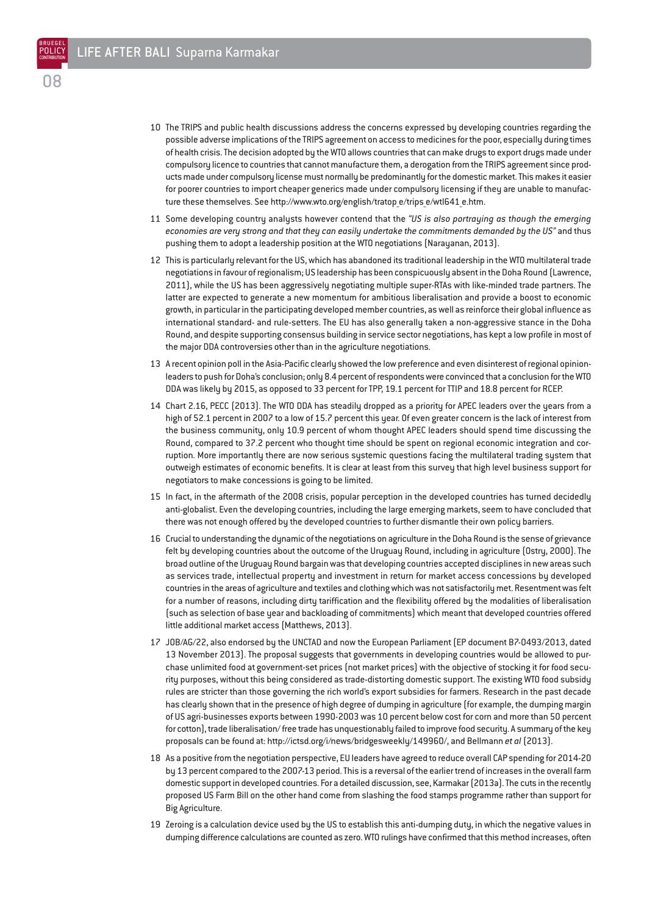- 10 The TRIPS and public health discussions address the concerns expressed by developing countries regarding the possible adverse implications of the TRIPS agreement on access to medicines for the poor, especially during times of health crisis. The decision adopted by the WTO allows countries that can make drugs to export drugs made under compulsory licence to countries that cannot manufacture them, a derogation from the TRIPS agreement since products made under compulsory license must normally be predominantly for the domestic market. This makes it easier for poorer countries to import cheaper generics made under compulsory licensing if they are unable to manufacture these themselves. See http://www.wto.org/english/tratop\_e/trips\_e/wtl641\_e.htm.
- 11 Some developing country analysts however contend that the *"US is also portraying as though the emerging economies are very strong and that they can easily undertake the commitments demanded by the US"* and thus pushing them to adopt a leadership position at the WTO negotiations (Narayanan, 2013).
- 12 This is particularly relevant for the US, which has abandoned its traditional leadership in the WTO multilateral trade negotiations in favour of regionalism; US leadership has been conspicuously absent in the Doha Round (Lawrence, 2011), while the US has been aggressively negotiating multiple super-RTAs with like-minded trade partners. The latter are expected to generate a new momentum for ambitious liberalisation and provide a boost to economic growth, in particular in the participating developed member countries, as well as reinforce their global influence as international standard- and rule-setters. The EU has also generally taken a non-aggressive stance in the Doha Round, and despite supporting consensus building in service sector negotiations, has kept a low profile in most of the major DDA controversies other than in the agriculture negotiations.
- 13 A recent opinion poll in the Asia-Pacific clearly showed the low preference and even disinterest of regional opinionleaders to push for Doha's conclusion; only 8.4 percent of respondents were convinced that a conclusion for the WTO DDA was likely by 2015, as opposed to 33 percent for TPP, 19.1 percent for TTIP and 18.8 percent for RCEP.
- 14 Chart 2.16, PECC (2013). The WTO DDA has steadily dropped as a priority for APEC leaders over the years from a high of 52.1 percent in 2007 to a low of 15.7 percent this year. Of even greater concern is the lack of interest from the business community, only 10.9 percent of whom thought APEC leaders should spend time discussing the Round, compared to 37.2 percent who thought time should be spent on regional economic integration and corruption. More importantly there are now serious systemic questions facing the multilateral trading system that outweigh estimates of economic benefits. It is clear at least from this survey that high level business support for negotiators to make concessions is going to be limited.
- 15 In fact, in the aftermath of the 2008 crisis, popular perception in the developed countries has turned decidedly anti-globalist. Even the developing countries, including the large emerging markets, seem to have concluded that there was not enough offered by the developed countries to further dismantle their own policy barriers.
- 16 Crucial to understanding the dynamic of the negotiations on agriculture in the Doha Round is the sense of grievance felt by developing countries about the outcome of the Uruguay Round, including in agriculture (Ostry, 2000). The broad outline of the Uruguay Round bargain was that developing countries accepted disciplines in new areas such as services trade, intellectual property and investment in return for market access concessions by developed countries in the areas of agriculture and textiles and clothing which was not satisfactorily met. Resentment was felt for a number of reasons, including dirty tariffication and the flexibility offered by the modalities of liberalisation (such as selection of base year and backloading of commitments) which meant that developed countries offered little additional market access (Matthews, 2013).
- 17 JOB/AG/22, also endorsed by the UNCTAD and now the European Parliament (EP document B7-0493/2013, dated 13 November 2013). The proposal suggests that governments in developing countries would be allowed to purchase unlimited food at government-set prices (not market prices) with the objective of stocking it for food security purposes, without this being considered as trade-distorting domestic support. The existing WTO food subsidy rules are stricter than those governing the rich world's export subsidies for farmers. Research in the past decade has clearly shown that in the presence of high degree of dumping in agriculture (for example, the dumping margin of US agri-businesses exports between 1990-2003 was 10 percent below cost for corn and more than 50 percent for cotton), trade liberalisation/ free trade has unquestionably failed to improve food security. A summary of the key proposals can be found at: http://ictsd.org/i/news/bridgesweekly/149960/, and Bellmann *et al* (2013).
- 18 As a positive from the negotiation perspective, EU leaders have agreed to reduce overall CAP spending for 2014-20 by 13 percent compared to the 2007-13 period. This is a reversal of the earlier trend of increases in the overall farm domestic support in developed countries. For a detailed discussion, see, Karmakar (2013a). The cuts in the recently proposed US Farm Bill on the other hand come from slashing the food stamps programme rather than support for Big Agriculture.
- 19 Zeroing is a calculation device used by the US to establish this anti-dumping duty, in which the negative values in dumping difference calculations are counted as zero. WTO rulings have confirmed that this method increases, often